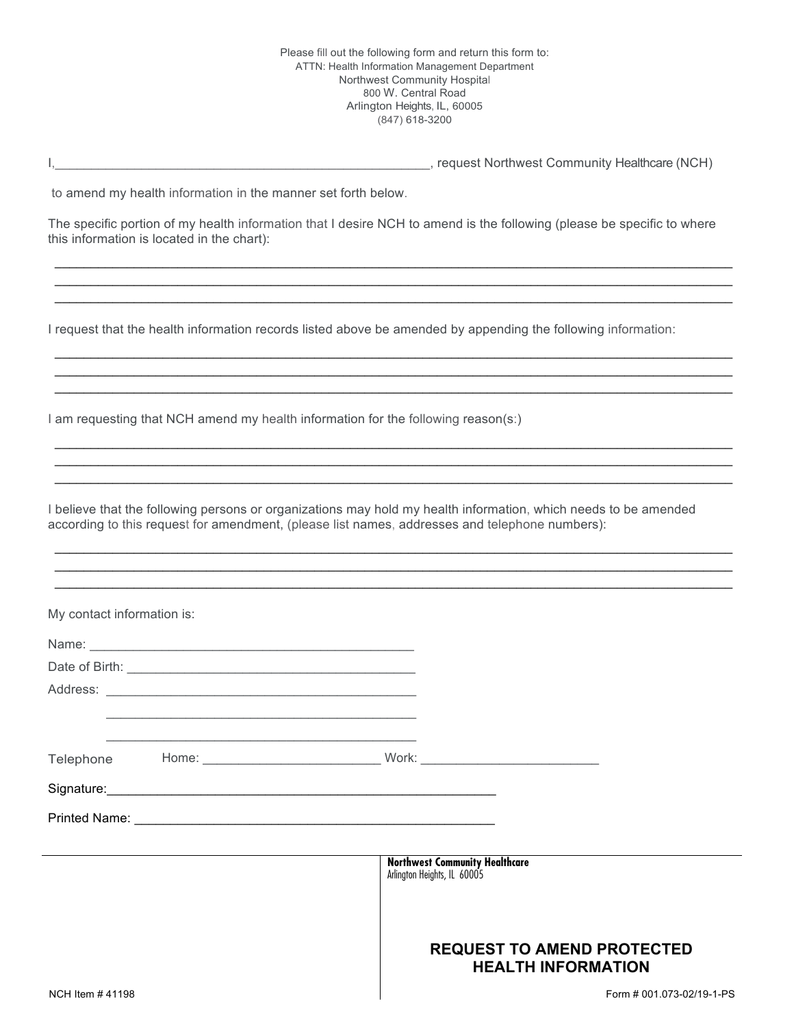I, the community Healthcare (NCH) and the community Healthcare (NCH) and the community Healthcare (NCH)

to amend my health information in the manner set forth below.

The specific portion of my health information that I desire NCH to amend is the following (please be specific to where this information is located in the chart):

 $\_$  ,  $\_$  ,  $\_$  ,  $\_$  ,  $\_$  ,  $\_$  ,  $\_$  ,  $\_$  ,  $\_$  ,  $\_$  ,  $\_$  ,  $\_$  ,  $\_$  ,  $\_$  ,  $\_$  ,  $\_$  ,  $\_$  ,  $\_$  ,  $\_$  ,  $\_$  ,  $\_$  ,  $\_$  ,  $\_$  ,  $\_$  ,  $\_$  ,  $\_$  ,  $\_$  ,  $\_$  ,  $\_$  ,  $\_$  ,  $\_$  ,  $\_$  ,  $\_$  ,  $\_$  ,  $\_$  ,  $\_$  ,  $\_$  ,  $\_$  , and the state of the state of the state of the state of the state of the state of the state of the state of the state of the state of the state of the state of the state of the state of the state of the state of the  $\_$  , and the state of the state of the state of the state of the state of the state of the state of the state of the state of the state of the state of the state of the state of the state of the state of the state of the

 $\_$  , and the state of the state of the state of the state of the state of the state of the state of the state of the state of the state of the state of the state of the state of the state of the state of the state of the  $\_$  ,  $\_$  ,  $\_$  ,  $\_$  ,  $\_$  ,  $\_$  ,  $\_$  ,  $\_$  ,  $\_$  ,  $\_$  ,  $\_$  ,  $\_$  ,  $\_$  ,  $\_$  ,  $\_$  ,  $\_$  ,  $\_$  ,  $\_$  ,  $\_$  ,  $\_$  ,  $\_$  ,  $\_$  ,  $\_$  ,  $\_$  ,  $\_$  ,  $\_$  ,  $\_$  ,  $\_$  ,  $\_$  ,  $\_$  ,  $\_$  ,  $\_$  ,  $\_$  ,  $\_$  ,  $\_$  ,  $\_$  ,  $\_$  ,  $\_$  ,  $\_$  ,  $\_$  ,  $\_$  ,  $\_$  ,  $\_$  ,  $\_$  ,  $\_$  ,  $\_$  ,  $\_$  ,  $\_$  ,  $\_$  ,  $\_$  ,  $\_$  ,  $\_$  ,  $\_$  ,  $\_$  ,  $\_$  ,  $\_$  ,  $\_$  ,  $\_$  ,  $\_$  ,  $\_$  ,  $\_$  ,  $\_$  ,  $\_$  ,  $\_$  ,  $\_$  ,  $\_$  ,  $\_$  ,  $\_$  ,  $\_$  ,  $\_$  ,  $\_$  ,  $\_$  ,  $\_$  ,  $\_$  ,

 $\_$  , and the state of the state of the state of the state of the state of the state of the state of the state of the state of the state of the state of the state of the state of the state of the state of the state of the  $\_$  ,  $\_$  ,  $\_$  ,  $\_$  ,  $\_$  ,  $\_$  ,  $\_$  ,  $\_$  ,  $\_$  ,  $\_$  ,  $\_$  ,  $\_$  ,  $\_$  ,  $\_$  ,  $\_$  ,  $\_$  ,  $\_$  ,  $\_$  ,  $\_$  ,  $\_$  ,  $\_$  ,  $\_$  ,  $\_$  ,  $\_$  ,  $\_$  ,  $\_$  ,  $\_$  ,  $\_$  ,  $\_$  ,  $\_$  ,  $\_$  ,  $\_$  ,  $\_$  ,  $\_$  ,  $\_$  ,  $\_$  ,  $\_$  ,  $\_$  , and the state of the state of the state of the state of the state of the state of the state of the state of the state of the state of the state of the state of the state of the state of the state of the state of the

 $\_$  , and the state of the state of the state of the state of the state of the state of the state of the state of the state of the state of the state of the state of the state of the state of the state of the state of the  $\_$  , and the state of the state of the state of the state of the state of the state of the state of the state of the state of the state of the state of the state of the state of the state of the state of the state of the  $\_$  , and the state of the state of the state of the state of the state of the state of the state of the state of the state of the state of the state of the state of the state of the state of the state of the state of the

I request that the health information records listed above be amended by appending the following information:

I am requesting that NCH amend my health information for the following reason(s:)

I believe that the following persons or organizations may hold my health information, which needs to be amended according to this request for amendment, (please list names, addresses and telephone numbers):

| My contact information is: |  |                                                                      |  |
|----------------------------|--|----------------------------------------------------------------------|--|
|                            |  |                                                                      |  |
|                            |  |                                                                      |  |
|                            |  |                                                                      |  |
|                            |  |                                                                      |  |
|                            |  |                                                                      |  |
|                            |  |                                                                      |  |
|                            |  |                                                                      |  |
|                            |  |                                                                      |  |
|                            |  |                                                                      |  |
|                            |  | <b>Northwest Community Healthcare</b><br>Arlington Heights, IL 60005 |  |
|                            |  |                                                                      |  |
|                            |  |                                                                      |  |
|                            |  | <b>REQUEST TO AMEND PROTECTED</b><br><b>HEALTH INFORMATION</b>       |  |